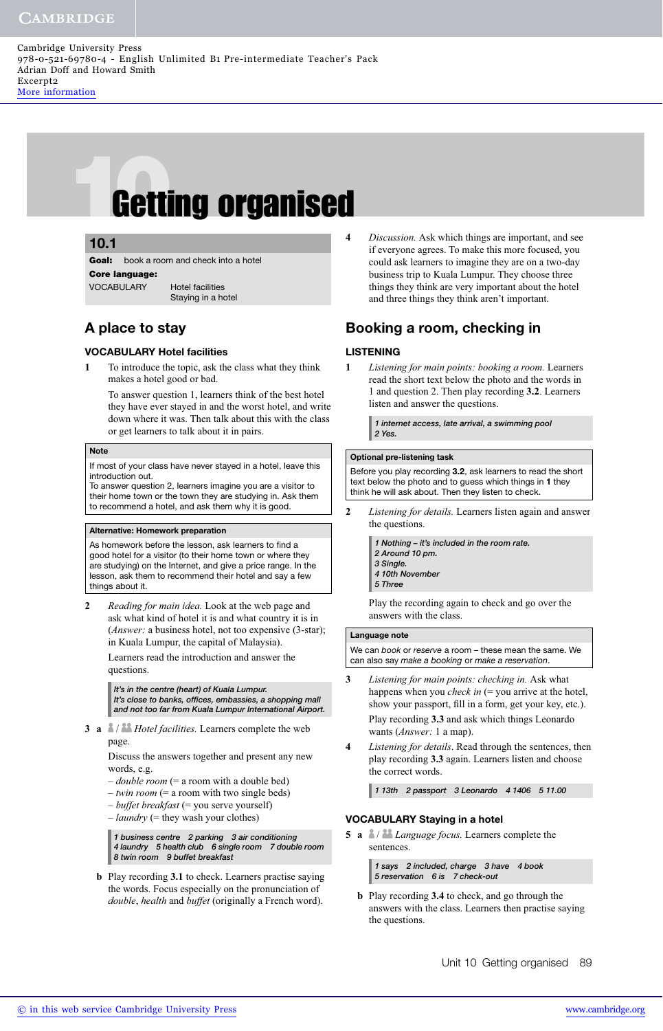Cambridge University Press 978-0-521-69780-4 - English Unlimited B1 Pre-intermediate Teacher's Pack Adrian Doff and Howard Smith Excerpt2 [More information](http://www.cambridge.org/9780521697804)

# **10.1**<br> **Coal:** book a room and check into a hotel<br> **Core language:**<br>
VOCABULARY Hotel facilities

## **5.1 10.1**

**Goal:** book a room and check into a hotel **Core language:** VOCABULARY Hotel facilities Staying in a hotel

# **A place to stay**

#### **VOCABULARY Hotel facilities**

**1** To introduce the topic, ask the class what they think makes a hotel good or bad.

To answer question 1, learners think of the best hotel they have ever stayed in and the worst hotel, and write down where it was. Then talk about this with the class or get learners to talk about it in pairs.

#### **Note**

If most of your class have never stayed in a hotel, leave this introduction out.

To answer question 2, learners imagine you are a visitor to their home town or the town they are studying in. Ask them to recommend a hotel, and ask them why it is good.

#### **Alternative: Homework preparation**

As homework before the lesson, ask learners to find a good hotel for a visitor (to their home town or where they are studying) on the Internet, and give a price range. In the lesson, ask them to recommend their hotel and say a few things about it.

**2** *Reading for main idea.* Look at the web page and ask what kind of hotel it is and what country it is in (*Answer:* a business hotel, not too expensive (3-star); in Kuala Lumpur, the capital of Malaysia).

Learners read the introduction and answer the questions.

*It's in the centre (heart) of Kuala Lumpur. It's close to banks, offices, embassies, a shopping mall and not too far from Kuala Lumpur International Airport.*

**3 a** / *Hotel facilities.* Learners complete the web page.

> Discuss the answers together and present any new words, e.g.

- *double room* (= a room with a double bed)
- *twin room* (= a room with two single beds)
- *buffet breakfast* (= you serve yourself)
- $-$  *laundry* (= they wash your clothes)

*1 business centre 2 parking 3 air conditioning 4 laundry 5 health club 6 single room 7 double room 8 twin room 9 buffet breakfast*

 **b** Play recording **3.1** to check. Learners practise saying the words. Focus especially on the pronunciation of *double*, *health* and *buffet* (originally a French word).

**4** *Discussion.* Ask which things are important, and see if everyone agrees. To make this more focused, you could ask learners to imagine they are on a two-day business trip to Kuala Lumpur. They choose three things they think are very important about the hotel and three things they think aren't important.

# **Booking a room, checking in**

#### **LISTENING**

**1** *Listening for main points: booking a room.* Learners read the short text below the photo and the words in 1 and question 2. Then play recording **3.2**. Learners listen and answer the questions.

> *1 internet access, late arrival, a swimming pool 2 Yes.*

#### **Optional pre-listening task**

Before you play recording **3.2**, ask learners to read the short text below the photo and to guess which things in **1** they think he will ask about. Then they listen to check.

**2** *Listening for details.* Learners listen again and answer the questions.

> *1 Nothing – it's included in the room rate. 2 Around 10 pm.*

- *3 Single.*
- *4 10th November*
- *5 Three*

Play the recording again to check and go over the answers with the class.

#### **Language note**

We can book or reserve a room - these mean the same. We can also say make a booking or make a reservation.

- **3** *Listening for main points: checking in.* Ask what happens when you *check in* (= you arrive at the hotel, show your passport, fill in a form, get your key, etc.). Play recording **3.3** and ask which things Leonardo wants (*Answer:* 1 a map).
- **4** *Listening for details*. Read through the sentences, then play recording **3.3** again. Learners listen and choose the correct words.

*1 13th 2 passport 3 Leonardo 4 1406 5 11.00*

#### **VOCABULARY Staying in a hotel**

**5 a** / *Language focus.* Learners complete the sentences.

> *1 says 2 included, charge 3 have 4 book 5 reservation 6 is 7 check-out*

 **b** Play recording **3.4** to check, and go through the answers with the class. Learners then practise saying the questions.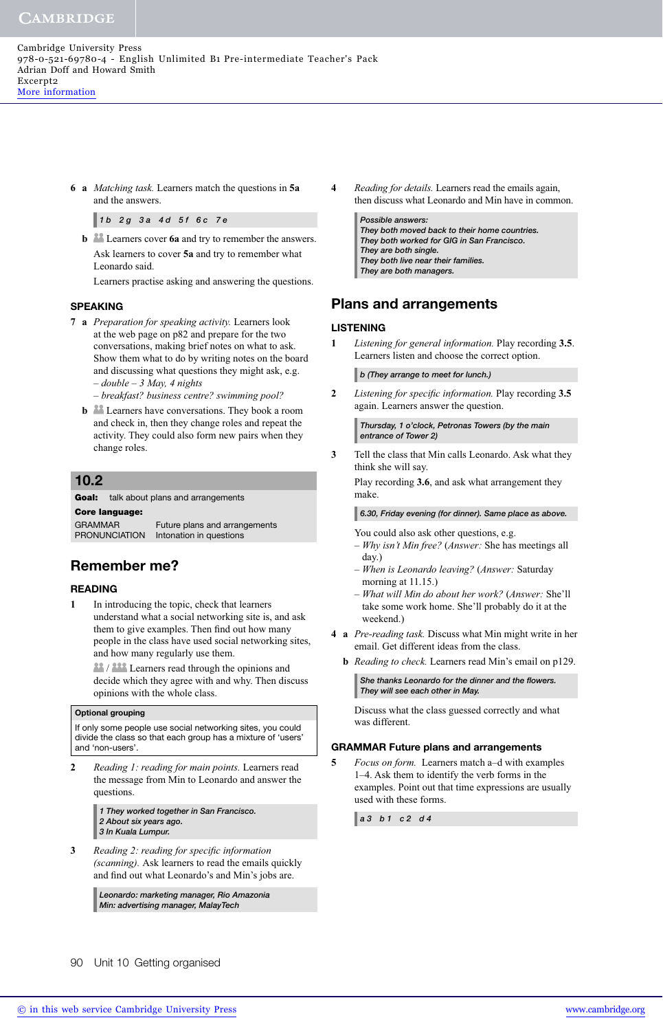**6 a** *Matching task.* Learners match the questions in **5a** and the answers.

*1 b 2 g 3 a 4 d 5 f 6 c 7 e*

**b l** Learners cover **6a** and try to remember the answers. Ask learners to cover **5a** and try to remember what Leonardo said.

Learners practise asking and answering the questions.

#### **SPEAKING**

- **7 a** *Preparation for speaking activity.* Learners look at the web page on p82 and prepare for the two conversations, making brief notes on what to ask. Show them what to do by writing notes on the board and discussing what questions they might ask, e.g. – *double – 3 May, 4 nights*
	- *breakfast? business centre? swimming pool?*
	- **b Learners** have conversations. They book a room and check in, then they change roles and repeat the activity. They could also form new pairs when they change roles.

## **10.2**

#### **Goal:** talk about plans and arrangements<br>Core language: GRAMMAR Future plans and arrangements PRONUNCIATION Intonation in questions

# **Remember me?**

#### **READING**

**1** In introducing the topic, check that learners understand what a social networking site is, and ask them to give examples. Then find out how many people in the class have used social networking sites, and how many regularly use them.

**12.** All Learners read through the opinions and decide which they agree with and why. Then discuss opinions with the whole class.

#### **Optional grouping**

If only some people use social networking sites, you could divide the class so that each group has a mixture of 'users' and 'non-users'.

**2** *Reading 1: reading for main points.* Learners read the message from Min to Leonardo and answer the questions.

> *1 They worked together in San Francisco. 2 About six years ago. 3 In Kuala Lumpur.*

**3** Reading 2: reading for specific information *(scanning).* Ask learners to read the emails quickly and find out what Leonardo's and Min's jobs are.

> *Leonardo: marketing manager, Rio Amazonia Min: advertising manager, MalayTech*

**4** *Reading for details.* Learners read the emails again, then discuss what Leonardo and Min have in common.

*Possible answers: They both moved back to their home countries. They both worked for GIG in San Francisco. They are both single. They both live near their families. They are both managers.*

# **Plans and arrangements**

#### **LISTENING**

**1** *Listening for general information.* Play recording **3.5**. Learners listen and choose the correct option.

*b (They arrange to meet for lunch.)*

**2** *Listening for specific information.* Play recording 3.5 again. Learners answer the question.

*Thursday, 1 o'clock, Petronas Towers (by the main entrance of Tower 2)*

**3** Tell the class that Min calls Leonardo. Ask what they think she will say.

Play recording **3.6**, and ask what arrangement they make.

*6.30, Friday evening (for dinner). Same place as above.*

You could also ask other questions, e.g.

- *Why isn't Min free?* (*Answer:* She has meetings all day.)
- *When is Leonardo leaving?* (*Answer:* Saturday morning at 11.15.)
- *What will Min do about her work?* (*Answer:* She'll take some work home. She'll probably do it at the weekend.)
- **4 a** *Pre-reading task.* Discuss what Min might write in her email. Get different ideas from the class.
	- **b** *Reading to check.* Learners read Min's email on p129.
		- She thanks Leonardo for the dinner and the flowers. *They will see each other in May.*

Discuss what the class guessed correctly and what was different.

#### **GRAMMAR Future plans and arrangements**

**5** *Focus on form.* Learners match a–d with examples 1–4. Ask them to identify the verb forms in the examples. Point out that time expressions are usually used with these forms.

*a 3 b 1 c 2 d 4*

90 Unit 10 Getting organised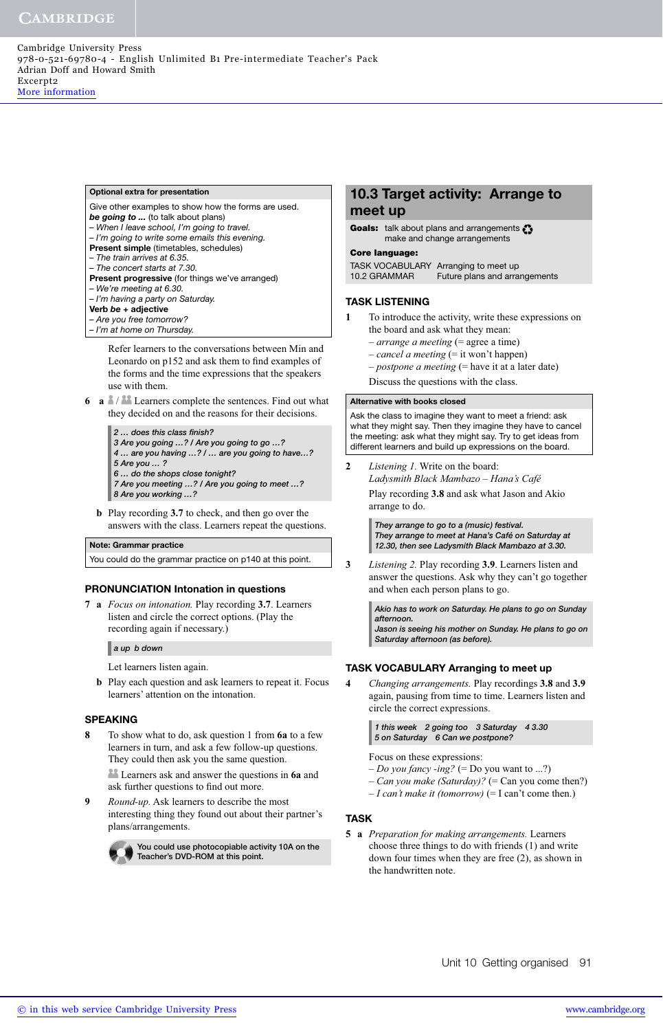#### **Optional extra for presentation**

- Give other examples to show how the forms are used.
- *be going to ...* (to talk about plans)
- When I leave school, I'm going to travel.
- I'm going to write some emails this evening. **Present simple** (timetables, schedules)
- The train arrives at 6.35.
- The concert starts at 7.30.
- **Present progressive** (for things we've arranged)
- We're meeting at 6.30.
- I'm having a party on Saturday.
- **Verb** *be* **+ adjective**
- Are you free tomorrow?
- I'm at home on Thursday.

Refer learners to the conversations between Min and Leonardo on p152 and ask them to find examples of the forms and the time expressions that the speakers use with them.

- **6 a**  $\mathbb{A}/\mathbb{A}$  Learners complete the sentences. Find out what they decided on and the reasons for their decisions.
	- *2 … does this class fi nish? 3 Are you going …? / Are you going to go …?*
	- *4 … are you having …? / … are you going to have…?*
	- *5 Are you … ?*
	- *6 … do the shops close tonight?*
	- *7 Are you meeting …? / Are you going to meet …? 8 Are you working …?*
	- **b** Play recording **3.7** to check, and then go over the answers with the class. Learners repeat the questions.

#### **Note: Grammar practice**

You could do the grammar practice on p140 at this point.

#### **PRONUNCIATION Intonation in questions**

**7 a** *Focus on intonation.* Play recording **3.7**. Learners listen and circle the correct options. (Play the recording again if necessary.)

#### *a up b down*

Let learners listen again.

 **b** Play each question and ask learners to repeat it. Focus learners' attention on the intonation.

#### **SPEAKING**

- **8** To show what to do, ask question 1 from **6a** to a few learners in turn, and ask a few follow-up questions. They could then ask you the same question. Learners ask and answer the questions in **6a** and ask further questions to find out more.
- **9** *Round-up.* Ask learners to describe the most interesting thing they found out about their partner's plans/arrangements.



**You could use photocopiable activity 10A on the Teacher's DVD-ROM at this point.** 

## **10.3 Target activity: Arrange to meet up**

```
Goals: talk about plans and arrangements \Omegamake and change arrangements
```
**Core language:** TASK VOCABULARY Arranging to meet up 10.2 GRAMMAR Future plans and arrangements

#### **TASK LISTENING**

- **1** To introduce the activity, write these expressions on the board and ask what they mean:
	- *arrange a meeting* (= agree a time)
	- *cancel a meeting* (= it won't happen)
	- *postpone a meeting* (= have it at a later date)
	- Discuss the questions with the class.

#### **Alternative with books closed**

Ask the class to imagine they want to meet a friend: ask what they might say. Then they imagine they have to cancel the meeting: ask what they might say. Try to get ideas from different learners and build up expressions on the board.

**2** *Listening 1.* Write on the board: *Ladysmith Black Mambazo – Hana's Café* Play recording **3.8** and ask what Jason and Akio arrange to do.

> *They arrange to go to a (music) festival. They arrange to meet at Hana's Café on Saturday at 12.30, then see Ladysmith Black Mambazo at 3.30.*

**3** *Listening 2.* Play recording **3.9**. Learners listen and answer the questions. Ask why they can't go together and when each person plans to go.

> *Akio has to work on Saturday. He plans to go on Sunday afternoon.*

> *Jason is seeing his mother on Sunday. He plans to go on Saturday afternoon (as before).*

#### **TASK VOCABULARY Arranging to meet up**

**4** *Changing arrangements.* Play recordings **3.8** and **3.9** again, pausing from time to time. Learners listen and circle the correct expressions.

> *1 this week 2 going too 3 Saturday 4 3.30 5 on Saturday 6 Can we postpone?*

Focus on these expressions:

- *Do you fancy -ing?* (= Do you want to ...?)
- *Can you make (Saturday)?* (= Can you come then?)
- *I can't make it (tomorrow)* (= I can't come then.)

#### **TASK**

**5 a** *Preparation for making arrangements.* Learners choose three things to do with friends (1) and write down four times when they are free (2), as shown in the handwritten note.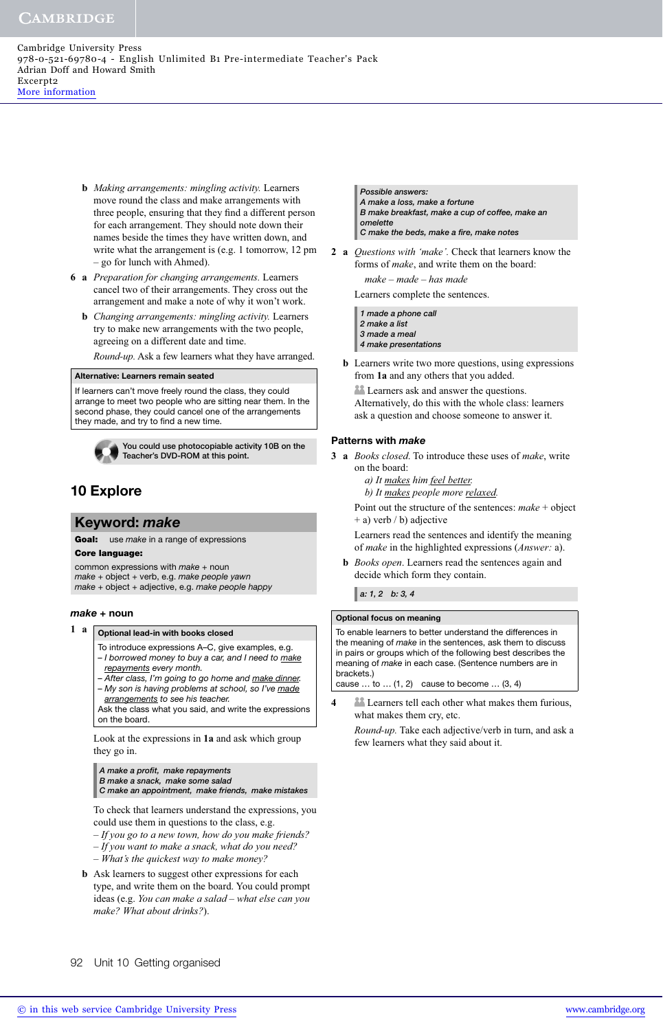Cambridge University Press 978-0-521-69780-4 - English Unlimited B1 Pre-intermediate Teacher's Pack Adrian Doff and Howard Smith Excerpt2 [More information](http://www.cambridge.org/9780521697804)

- **b** *Making arrangements: mingling activity.* Learners move round the class and make arrangements with three people, ensuring that they find a different person for each arrangement. They should note down their names beside the times they have written down, and write what the arrangement is (e.g. 1 tomorrow, 12 pm – go for lunch with Ahmed).
- **6 a** *Preparation for changing arrangements.* Learners cancel two of their arrangements. They cross out the arrangement and make a note of why it won't work.
	- **b** *Changing arrangements: mingling activity.* Learners try to make new arrangements with the two people, agreeing on a different date and time.

*Round-up.* Ask a few learners what they have arranged.

#### **Alternative: Learners remain seated**

If learners can't move freely round the class, they could arrange to meet two people who are sitting near them. In the second phase, they could cancel one of the arrangements they made, and try to find a new time.



**You could use photocopiable activity 10B on the Teacher's DVD-ROM at this point.** 

# **10 Explore**

#### **Keyword:** *make*

**Goal:** use *make* in a range of expressions<br>**Core language:** 

**Core language:** common expressions with make + noun make + object + verb, e.g. make people yawn make + object + adjective, e.g. make people happy

#### *make* **+ noun**

### **1 a Optional lead-in with books closed**

- To introduce expressions A–C, give examples, e.g. - I borrowed money to buy a car, and I need to make
- repayments every month.
- After class, I'm going to go home and make dinner. – My son is having problems at school, so I've made
- arrangements to see his teacher. Ask the class what you said, and write the expressions

on the board.

Look at the expressions in **1a** and ask which group they go in.

*A make a profi t, make repayments*

*B make a snack, make some salad C make an appointment, make friends, make mistakes*

To check that learners understand the expressions, you could use them in questions to the class, e.g.

- *If you go to a new town, how do you make friends?*
- *If you want to make a snack, what do you need? – What's the quickest way to make money?*
- **b** Ask learners to suggest other expressions for each type, and write them on the board. You could prompt ideas (e.g. *You can make a salad – what else can you make? What about drinks?*).

*Possible answers: A make a loss, make a fortune B make breakfast, make a cup of coffee, make an omelette C make the beds, make a fi re, make notes*

**2 a** *Questions with 'make'.* Check that learners know the forms of *make*, and write them on the board:

 *make – made – has made*

Learners complete the sentences.

*1 made a phone call 2 make a list 3 made a meal 4 make presentations*

 **b** Learners write two more questions, using expressions from **1a** and any others that you added.

**Learners ask and answer the questions.** 

Alternatively, do this with the whole class: learners ask a question and choose someone to answer it.

#### **Patterns with** *make*

- **3 a** *Books closed*. To introduce these uses of *make*, write on the board:
	- *a) It makes him feel better.*
	- *b) It makes people more relaxed.*

Point out the structure of the sentences: *make* + object + a) verb / b) adjective

Learners read the sentences and identify the meaning of *make* in the highlighted expressions (*Answer:* a).

 **b** *Books open*. Learners read the sentences again and decide which form they contain.

*a: 1, 2 b: 3, 4*

#### **Optional focus on meaning**

To enable learners to better understand the differences in the meaning of make in the sentences, ask them to discuss in pairs or groups which of the following best describes the meaning of make in each case. (Sentence numbers are in brackets.)

cause  $\dots$  to  $\dots$  (1, 2) cause to become  $\dots$  (3, 4)

**4** Learners tell each other what makes them furious, what makes them cry, etc.

*Round-up.* Take each adjective/verb in turn, and ask a few learners what they said about it.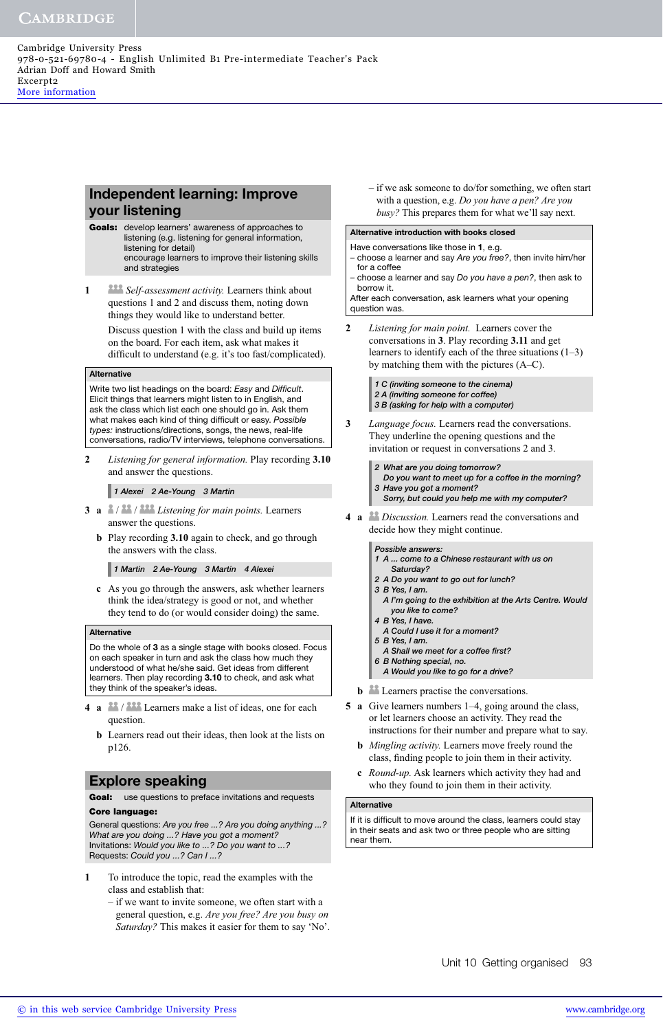# **Independent learning: Improve your listening**

- **Goals:** develop learners' awareness of approaches to listening (e.g. listening for general information, listening for detail) encourage learners to improve their listening skills and strategies
- **1** *Self-assessment activity.* Learners think about questions 1 and 2 and discuss them, noting down things they would like to understand better.

Discuss question 1 with the class and build up items on the board. For each item, ask what makes it difficult to understand (e.g. it's too fast/complicated).

#### **Alternative**

Write two list headings on the board: Easy and Difficult. Elicit things that learners might listen to in English, and ask the class which list each one should go in. Ask them what makes each kind of thing difficult or easy. Possible types: instructions/directions, songs, the news, real-life conversations, radio/TV interviews, telephone conversations.

**2** *Listening for general information.* Play recording **3.10** and answer the questions.

*1 Alexei 2 Ae-Young 3 Martin*

- **3 a** / / *Listening for main points.* Learners answer the questions.
	- **b** Play recording **3.10** again to check, and go through the answers with the class.

*1 Martin 2 Ae-Young 3 Martin 4 Alexei*

 **c** As you go through the answers, ask whether learners think the idea/strategy is good or not, and whether they tend to do (or would consider doing) the same.

#### **Alternative**

Do the whole of **3** as a single stage with books closed. Focus on each speaker in turn and ask the class how much they understood of what he/she said. Get ideas from different learners. Then play recording **3.10** to check, and ask what they think of the speaker's ideas.

- **4 a <sup>88</sup>/<sup>888</sup>** Learners make a list of ideas, one for each question.
	- **b** Learners read out their ideas, then look at the lists on p126.

# **Explore speaking**

**Goal:** use questions to preface invitations and requests<br>**Core language:** 

**Core corporations:** Are you free ...? Are you doing anything ...? What are you doing ...? Have you got a moment? Invitations: Would you like to ...? Do you want to ...? Requests: Could you ...? Can I ...?

- **1** To introduce the topic, read the examples with the class and establish that:
	- if we want to invite someone, we often start with a general question, e.g. *Are you free? Are you busy on Saturday?* This makes it easier for them to say 'No'.

– if we ask someone to do/for something, we often start with a question, e.g. *Do you have a pen? Are you busy?* This prepares them for what we'll say next.

#### **Alternative introduction with books closed**

Have conversations like those in **1**, e.g.

choose a learner and say Are you free?, then invite him/her for a coffee

– choose a learner and say Do you have a pen?, then ask to borrow it.

After each conversation, ask learners what your opening question was.

**2** *Listening for main point.* Learners cover the conversations in **3**. Play recording **3.11** and get learners to identify each of the three situations (1–3) by matching them with the pictures (A–C).

> *1 C (inviting someone to the cinema) 2 A (inviting someone for coffee) 3 B (asking for help with a computer)*

- **3** *Language focus.* Learners read the conversations. They underline the opening questions and the invitation or request in conversations 2 and 3.
	- *2 What are you doing tomorrow?*
	- *Do you want to meet up for a coffee in the morning? 3 Have you got a moment?*
		- *Sorry, but could you help me with my computer?*
- **4 a** *Discussion.* Learners read the conversations and decide how they might continue.

*Possible answers:*

- *1 A ... come to a Chinese restaurant with us on Saturday?*
- *2 A Do you want to go out for lunch?*
- *3 B Yes, I am.*
- *A I'm going to the exhibition at the Arts Centre. Would you like to come?*
- *4 B Yes, I have.*
- *A Could I use it for a moment?*
- *5 B Yes, I am.*
- A Shall we meet for a coffee first?
- *6 B Nothing special, no. A Would you like to go for a drive?*
- **b la** Learners practise the conversations.
- **5 a** Give learners numbers 1–4, going around the class, or let learners choose an activity. They read the instructions for their number and prepare what to say.
	- **b** *Mingling activity.* Learners move freely round the class, finding people to join them in their activity.
	- **c** *Round-up.* Ask learners which activity they had and who they found to join them in their activity.

#### **Alternative**

If it is difficult to move around the class, learners could stay in their seats and ask two or three people who are sitting near them.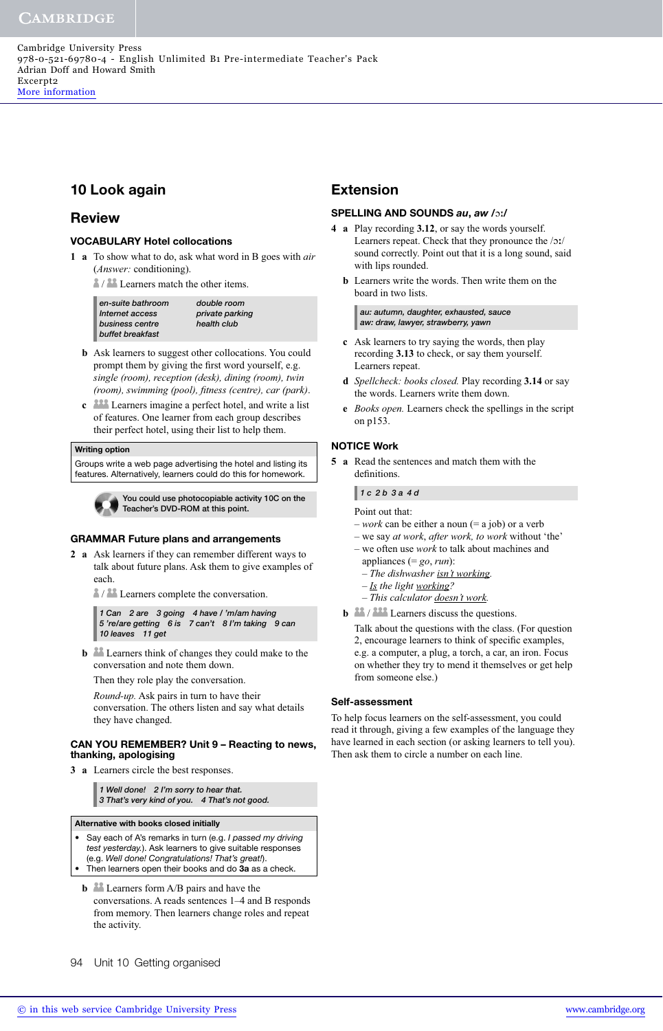# **10 Look again**

## **Review**

#### **VOCABULARY Hotel collocations**

**1 a** To show what to do, ask what word in B goes with *air* (*Answer:* conditioning).

 $\frac{2}{3}$  /  $\frac{22}{1}$  Learners match the other items.

| en-suite bathroom | double room     |
|-------------------|-----------------|
| Internet access   | private parking |
| business centre   | health club     |
| buffet breakfast  |                 |

- **b** Ask learners to suggest other collocations. You could prompt them by giving the first word yourself, e.g. *single (room), reception (desk), dining (room), twin (room), swimming (pool), fi tness (centre), car (park)*.
- **c** Learners imagine a perfect hotel, and write a list of features. One learner from each group describes their perfect hotel, using their list to help them.

#### **Writing option**

Groups write a web page advertising the hotel and listing its features. Alternatively, learners could do this for homework.



**You could use photocopiable activity 10C on the Teacher's DVD-ROM at this point.** 

#### **GRAMMAR Future plans and arrangements**

**2 a** Ask learners if they can remember different ways to talk about future plans. Ask them to give examples of each.

 $\frac{2}{3}$  /  $\frac{22}{1}$  Learners complete the conversation.

*1 Can 2 are 3 going 4 have / 'm/am having 5 're/are getting 6 is 7 can't 8 I'm taking 9 can 10 leaves 11 get*

**b b** Learners think of changes they could make to the conversation and note them down.

Then they role play the conversation.

*Round-up.* Ask pairs in turn to have their conversation. The others listen and say what details they have changed.

#### **CAN YOU REMEMBER? Unit 9 – Reacting to news, thanking, apologising**

**3 a** Learners circle the best responses.

*1 Well done! 2 I'm sorry to hear that. 3 That's very kind of you. 4 That's not good.*

#### **Alternative with books closed initially**

- Say each of A's remarks in turn (e.g. I passed my driving test yesterday.). Ask learners to give suitable responses (e.g. Well done! Congratulations! That's great!). • Then learners open their books and do **3a** as a check.
	- **b Learners** form A/B pairs and have the conversations. A reads sentences 1–4 and B responds from memory. Then learners change roles and repeat the activity.

# **Extension**

#### **SPELLING AND SOUNDS** *au***,** *aw* **/**ɔ-**/**

- **4 a** Play recording **3.12**, or say the words yourself. Learners repeat. Check that they pronounce the /ɔː/ sound correctly. Point out that it is a long sound, said with lips rounded.
	- **b** Learners write the words. Then write them on the board in two lists.

*au: autumn, daughter, exhausted, sauce aw: draw, lawyer, strawberry, yawn*

- **c** Ask learners to try saying the words, then play recording **3.13** to check, or say them yourself. Learners repeat.
- **d** *Spellcheck: books closed.* Play recording **3.14** or say the words. Learners write them down.
- **e** *Books open.* Learners check the spellings in the script on p153.

#### **NOTICE Work**

**5 a** Read the sentences and match them with the definitions.

#### *1 c 2 b 3 a 4 d*

- Point out that:
- 
- $-$ *work* can be either a noun (= a job) or a verb – we say *at work*, *after work, to work* without 'the'
- we often use *work* to talk about machines and
- appliances (= *go*, *run*):
- *The dishwasher isn't working.*
- *Is the light working?*
- *This calculator doesn't work.*
- **b 12** / **222** Learners discuss the questions.

Talk about the questions with the class. (For question 2, encourage learners to think of specific examples, e.g. a computer, a plug, a torch, a car, an iron. Focus on whether they try to mend it themselves or get help from someone else.)

#### **Self-assessment**

To help focus learners on the self-assessment, you could read it through, giving a few examples of the language they have learned in each section (or asking learners to tell you). Then ask them to circle a number on each line.

94 Unit 10 Getting organised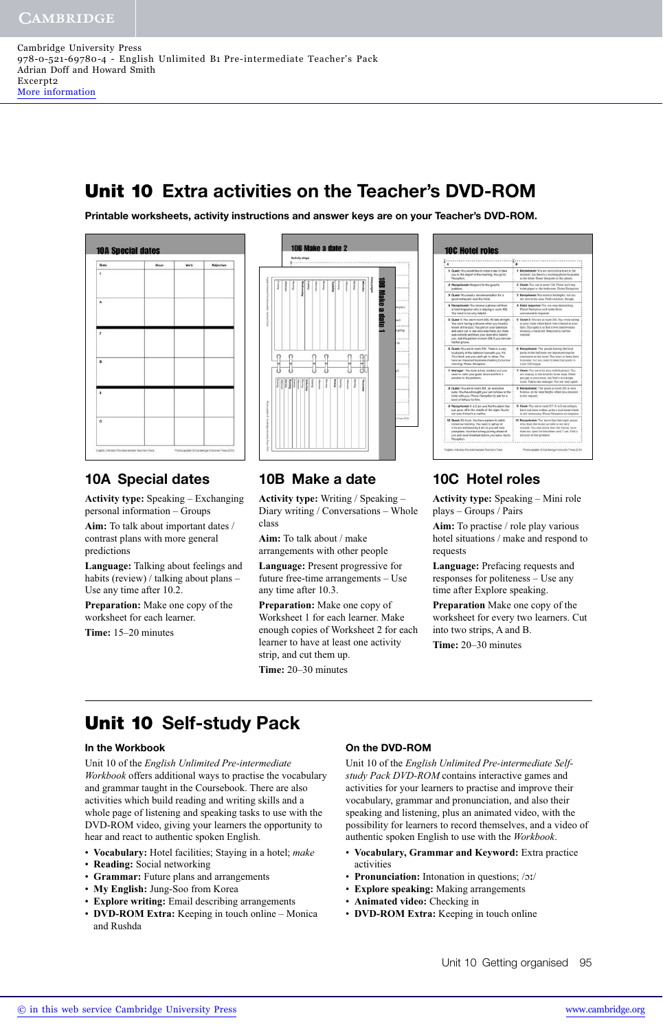# **Unit 10 Extra activities on the Teacher's DVD-ROM**

**Printable worksheets, activity instructions and answer keys are on your Teacher's DVD-ROM.**



# **10A Special dates**

**Activity type:** Speaking – Exchanging personal information – Groups

**Aim:** To talk about important dates / contrast plans with more general predictions

**Language:** Talking about feelings and habits (review) / talking about plans – Use any time after 10.2.

**Preparation:** Make one copy of the worksheet for each learner.

**Time:** 15–20 minutes



| <b>10C Hotel roles</b>                                                                                                                                                                                                                                                                                            |                                                                                                                                                                                                                         |
|-------------------------------------------------------------------------------------------------------------------------------------------------------------------------------------------------------------------------------------------------------------------------------------------------------------------|-------------------------------------------------------------------------------------------------------------------------------------------------------------------------------------------------------------------------|
|                                                                                                                                                                                                                                                                                                                   | B                                                                                                                                                                                                                       |
| 1 Guest: You would like to order a taxi to take                                                                                                                                                                                                                                                                   | 1 Receptionist: You are particularly busy at the                                                                                                                                                                        |
| you to the airport in the morning. You go to                                                                                                                                                                                                                                                                      | moment, but there's a courtery phone for questa-                                                                                                                                                                        |
| Reception.                                                                                                                                                                                                                                                                                                        | in the jobby. Direct the guest to this phone.                                                                                                                                                                           |
| 2 Receptionist: Respond to the quest's                                                                                                                                                                                                                                                                            | 2 Guest: You are in room 134. There we't any                                                                                                                                                                            |
| problem.                                                                                                                                                                                                                                                                                                          | toilet paper in the hathroom. Phone Reception.                                                                                                                                                                          |
| 3 Guest: You need a recommendation for a                                                                                                                                                                                                                                                                          | 3 Receptionist: You want to be helpful, but you.                                                                                                                                                                        |
| good restaurant near the hotel.                                                                                                                                                                                                                                                                                   | are new to the area. Find a solution, though,                                                                                                                                                                           |
| 4 Receptionist: You receive a phone call from                                                                                                                                                                                                                                                                     | 4 Hotel inspector: You are very demanding.                                                                                                                                                                              |
| a hotel impector who is staying in room 405.                                                                                                                                                                                                                                                                      | Phone Reception and make three-                                                                                                                                                                                         |
| You need to be very helpful.                                                                                                                                                                                                                                                                                      | unreasinable requests.                                                                                                                                                                                                  |
| 5 Guest 1: You are in room 205. It's late at night.<br>You were having a shower when you heard a<br>knock at the door. You put on your bathrobe<br>and went out to see who was there, but there<br>was nobody and then your door shut behind.<br>you. Ask the person in room 206 If you can use<br>hla/her phone. | 5 Guest 2: You are in room 208. Tou were asleep.<br>in your room when there was a knock at your<br>door. You upen it to find a wet man/woman<br>weating a bathrobe. Respond to his/ber<br>requirer.                     |
| 6 Guest: You are in room 105. There is a very                                                                                                                                                                                                                                                                     | 6 Receptionist: The people having the loud                                                                                                                                                                              |
| loud party in the balkoom beneath you. It's                                                                                                                                                                                                                                                                       | party in the ballroom are important regular                                                                                                                                                                             |
| 10 o'clock and you can't get to sleep. You                                                                                                                                                                                                                                                                        | customers at the hotel. You want to keep their                                                                                                                                                                          |
| have an important business meeting tomorrow                                                                                                                                                                                                                                                                       | business, but you need to keep the guest in                                                                                                                                                                             |
| morning. Phone Reception.                                                                                                                                                                                                                                                                                         | room 105 happy.                                                                                                                                                                                                         |
| 7 Manager: The hotel is fully booked, but you<br>need to calm your quest down and find a<br>solution to the problem.                                                                                                                                                                                              | 7 Owest: You are with your write/busheld. You<br>are staying at the botel for three days. When<br>with get to your room, you find it is a single<br>room. Talk to the manager. You are very upset.                      |
| & Guest: You are in room 361, an executive<br>suite. You have brought your pet tortoise to the<br>hotel with you. Phone Reception to ask for a<br>bowl of lettuos for him.                                                                                                                                        | 8 Receptionist: The guest in room 381 is very<br>famous, so be very helpful when you respond.<br>to his request.                                                                                                        |
| 9 Receptionist: It is 2 am and the fire alarm has                                                                                                                                                                                                                                                                 | 9 Guest: You are in roots 217. It is 2 are and you.                                                                                                                                                                     |
| just gone off in the middle of the night. You're                                                                                                                                                                                                                                                                  | have just been sythen up by a loud noise which                                                                                                                                                                          |
| next supplie of thusewin as recall first.                                                                                                                                                                                                                                                                         | is still continuing. Phone Reception to complain.                                                                                                                                                                       |
| 10 Guest: It's 9 pm. You have a plane to catch<br>fornomow morning. You need to get up at<br>5.15 am and leave by 6 am or you will miss<br>your plane. You have a long journey ahead of<br>you and need brasidast before you leave. Go to<br>Reception.                                                           | 10 Receptionist: You know that the night porter<br>who does the wake-up calls is not very<br>reliable. You also know that the dining room<br>does not open for breakfast until 7 am. Find a<br>ackazion to the problem. |

# **10B Make a date**

**Activity type:** Writing / Speaking – Diary writing / Conversations – Whole class

**Aim:** To talk about / make arrangements with other people

**Language:** Present progressive for future free-time arrangements – Use any time after 10.3.

**Preparation:** Make one copy of Worksheet 1 for each learner. Make enough copies of Worksheet 2 for each learner to have at least one activity strip, and cut them up.

**Time:** 20–30 minutes

# **10C Hotel roles**

**Activity type:** Speaking – Mini role plays – Groups / Pairs

**Aim:** To practise / role play various hotel situations / make and respond to requests

**Language:** Prefacing requests and responses for politeness – Use any time after Explore speaking.

**Preparation** Make one copy of the worksheet for every two learners. Cut into two strips, A and B.

**Time:** 20–30 minutes

# **Unit 10 Self-study Pack**

#### **In the Workbook**

Unit 10 of the *English Unlimited Pre-intermediate Workbook* offers additional ways to practise the vocabulary and grammar taught in the Coursebook. There are also activities which build reading and writing skills and a whole page of listening and speaking tasks to use with the DVD-ROM video, giving your learners the opportunity to hear and react to authentic spoken English.

- **Vocabulary:** Hotel facilities; Staying in a hotel; *make*
- **Reading:** Social networking
- **Grammar:** Future plans and arrangements
- **My English:** Jung-Soo from Korea
- **Explore writing:** Email describing arrangements
- **DVD-ROM Extra:** Keeping in touch online Monica and Rushda

### **On the DVD-ROM**

Unit 10 of the *English Unlimited Pre-intermediate Selfstudy Pack DVD-ROM* contains interactive games and activities for your learners to practise and improve their vocabulary, grammar and pronunciation, and also their speaking and listening, plus an animated video, with the possibility for learners to record themselves, and a video of authentic spoken English to use with the *Workbook*.

- **Vocabulary, Grammar and Keyword:** Extra practice activities
- Pronunciation: Intonation in questions; /ɔː/
- **Explore speaking:** Making arrangements
- **Animated video:** Checking in
- **DVD-ROM Extra:** Keeping in touch online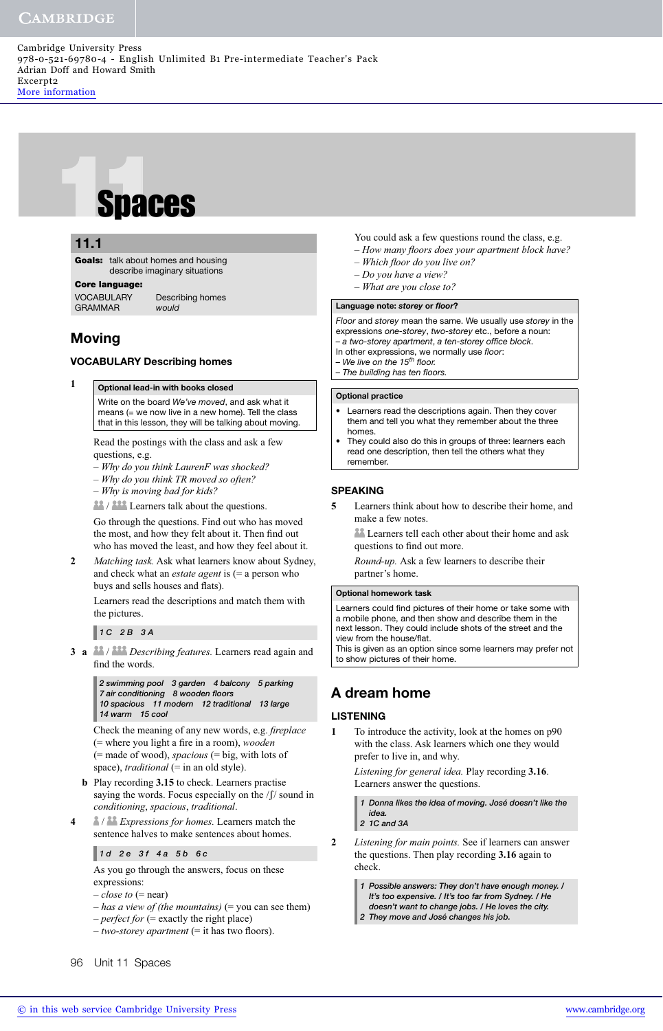# **Spaces**<br> **11.1**<br> **Goals:** talk about homes and<br> **Core language:**<br> **Core language:**

# **5.1 11.1**

**Goals:** talk about homes and housing describe imaginary situations

**VOCABULARY** Describing homes GRAMMAR would

# **Moving**

#### **VOCABULARY Describing homes**

#### **1 Optional lead-in with books closed**

Write on the board We've moved, and ask what it means (= we now live in a new home). Tell the class that in this lesson, they will be talking about moving.

Read the postings with the class and ask a few questions, e.g.

- *Why do you think LaurenF was shocked?*
- *Why do you think TR moved so often?*
- *Why is moving bad for kids?*

 / Learners talk about the questions. Go through the questions. Find out who has moved the most, and how they felt about it. Then find out who has moved the least, and how they feel about it.

**2** *Matching task.* Ask what learners know about Sydney, and check what an *estate agent* is (= a person who buys and sells houses and flats).

Learners read the descriptions and match them with the pictures.

### *1 C 2 B 3 A*

**3 a** / *Describing features.* Learners read again and find the words.

> *2 swimming pool 3 garden 4 balcony 5 parking 7 air conditioning 8 wooden fl oors 10 spacious 11 modern 12 traditional 13 large 14 warm 15 cool*

Check the meaning of any new words, e.g. *fireplace* (= where you light a fire in a room), *wooden* (= made of wood), *spacious* (= big, with lots of space), *traditional* (= in an old style).

- **b** Play recording **3.15** to check. Learners practise saying the words. Focus especially on the  $/f$  sound in *conditioning*, *spacious*, *traditional*.
- **4** / *Expressions for homes.* Learners match the sentence halves to make sentences about homes.

#### *1 d 2 e 3 f 4 a 5 b 6 c*

As you go through the answers, focus on these expressions:

- $-\textit{close to}$  (= near)
- *has a view of (the mountains)* (= you can see them)
- *perfect for* (= exactly the right place)
- $-$  *two-storey apartment* (= it has two floors).

You could ask a few questions round the class, e.g.

- *How many fl oors does your apartment block have? – Which fl oor do you live on?*
- *Do you have a view?*
- *What are you close to?*

#### **Language note:** *storey* **or** *fl oor***?**

Floor and storey mean the same. We usually use storey in the expressions one-storey, two-storey etc., before a noun: – a two-storey apartment, a ten-storey office block.

- In other expressions, we normally use floor:
- We live on the 15<sup>th</sup> floor.
- The building has ten floors.

#### **Optional practice**

- Learners read the descriptions again. Then they cover them and tell you what they remember about the three homes.
- They could also do this in groups of three: learners each read one description, then tell the others what they remember.

#### **SPEAKING**

**5** Learners think about how to describe their home, and make a few notes.

**Learners tell each other about their home and ask** questions to find out more.

*Round-up.* Ask a few learners to describe their partner's home.

#### **Optional homework task**

Learners could find pictures of their home or take some with a mobile phone, and then show and describe them in the next lesson. They could include shots of the street and the view from the house/flat.

This is given as an option since some learners may prefer not to show pictures of their home.

# **A dream home**

#### **LISTENING**

**1** To introduce the activity, look at the homes on p90 with the class. Ask learners which one they would prefer to live in, and why.

*Listening for general idea.* Play recording **3.16**. Learners answer the questions.

*1 Donna likes the idea of moving. José doesn't like the idea. 2 1C and 3A*

- **2** *Listening for main points.* See if learners can answer the questions. Then play recording **3.16** again to check.
	- *1 Possible answers: They don't have enough money. / It's too expensive. / It's too far from Sydney. / He doesn't want to change jobs. / He loves the city.*
	- *2 They move and José changes his job.*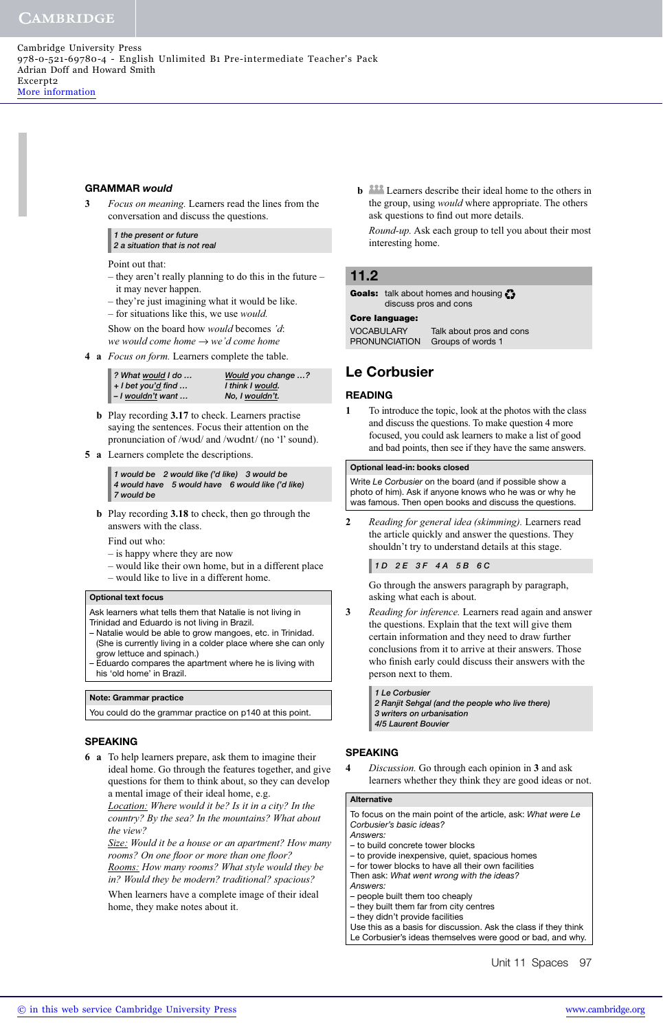#### **GRAMMAR** *would*

**3** *Focus on meaning.* Learners read the lines from the conversation and discuss the questions.

*1 the present or future 2 a situation that is not real*

Point out that:

- they aren't really planning to do this in the future it may never happen.
- they're just imagining what it would be like.
- for situations like this, we use *would.*

Show on the board how *would* becomes *'d*: *we would come home* → *we'd come home*

**4 a** *Focus on form.* Learners complete the table.

| ? What would I do       | Would you change ? |
|-------------------------|--------------------|
| $+$ I bet you'd find $$ | I think I would.   |
| - I wouldn't want       | No, I wouldn't.    |

- **b** Play recording **3.17** to check. Learners practise saying the sentences. Focus their attention on the pronunciation of /wυd/ and /wυdnt/ (no 'l' sound).
- **5 a** Learners complete the descriptions.

*1 would be 2 would like ('d like) 3 would be 4 would have 5 would have 6 would like ('d like) 7 would be*

 **b** Play recording **3.18** to check, then go through the answers with the class.

Find out who:

- is happy where they are now
- would like their own home, but in a different place
- would like to live in a different home.

#### **Optional text focus**

- Ask learners what tells them that Natalie is not living in
- Trinidad and Eduardo is not living in Brazil.
- Natalie would be able to grow mangoes, etc. in Trinidad. (She is currently living in a colder place where she can only grow lettuce and spinach.)
- Eduardo compares the apartment where he is living with his 'old home' in Brazil.

#### **Note: Grammar practice**

You could do the grammar practice on p140 at this point.

#### **SPEAKING**

**6 a** To help learners prepare, ask them to imagine their ideal home. Go through the features together, and give questions for them to think about, so they can develop a mental image of their ideal home, e.g.

*Location: Where would it be? Is it in a city? In the country? By the sea? In the mountains? What about the view?*

*Size: Would it be a house or an apartment? How many*  rooms? On one floor or more than one floor? *Rooms: How many rooms? What style would they be* 

*in? Would they be modern? traditional? spacious?* 

When learners have a complete image of their ideal home, they make notes about it.

**b Learners** describe their ideal home to the others in the group, using *would* where appropriate. The others ask questions to find out more details.

*Round-up.* Ask each group to tell you about their most interesting home.

#### **11.2**

Goals: talk about homes and housing discuss pros and cons

**Core language:**

VOCABULARY Talk about pros and cons<br>PRONUNCIATION Groups of words 1 Groups of words 1

# **Le Corbusier**

#### **READING**

**1** To introduce the topic, look at the photos with the class and discuss the questions. To make question 4 more focused, you could ask learners to make a list of good and bad points, then see if they have the same answers.

#### **Optional lead-in: books closed**

Write Le Corbusier on the board (and if possible show a photo of him). Ask if anyone knows who he was or why he was famous. Then open books and discuss the questions.

**2** *Reading for general idea (skimming).* Learners read the article quickly and answer the questions. They shouldn't try to understand details at this stage.

#### *1 D 2 E 3 F 4 A 5 B 6 C*

Go through the answers paragraph by paragraph, asking what each is about.

**3** *Reading for inference.* Learners read again and answer the questions. Explain that the text will give them certain information and they need to draw further conclusions from it to arrive at their answers. Those who finish early could discuss their answers with the person next to them.

#### *1 Le Corbusier*

*2 Ranjit Sehgal (and the people who live there) 3 writers on urbanisation 4/5 Laurent Bouvier*

#### **SPEAKING**

**4** *Discussion.* Go through each opinion in **3** and ask learners whether they think they are good ideas or not.

#### **Alternative**

To focus on the main point of the article, ask: What were Le Corbusier's basic ideas?

- Answers:
- to build concrete tower blocks
- to provide inexpensive, quiet, spacious homes
- for tower blocks to have all their own facilities Then ask: What went wrong with the ideas?
- Answers:
- people built them too cheaply
- they built them far from city centres
- they didn't provide facilities

Use this as a basis for discussion. Ask the class if they think Le Corbusier's ideas themselves were good or bad, and why.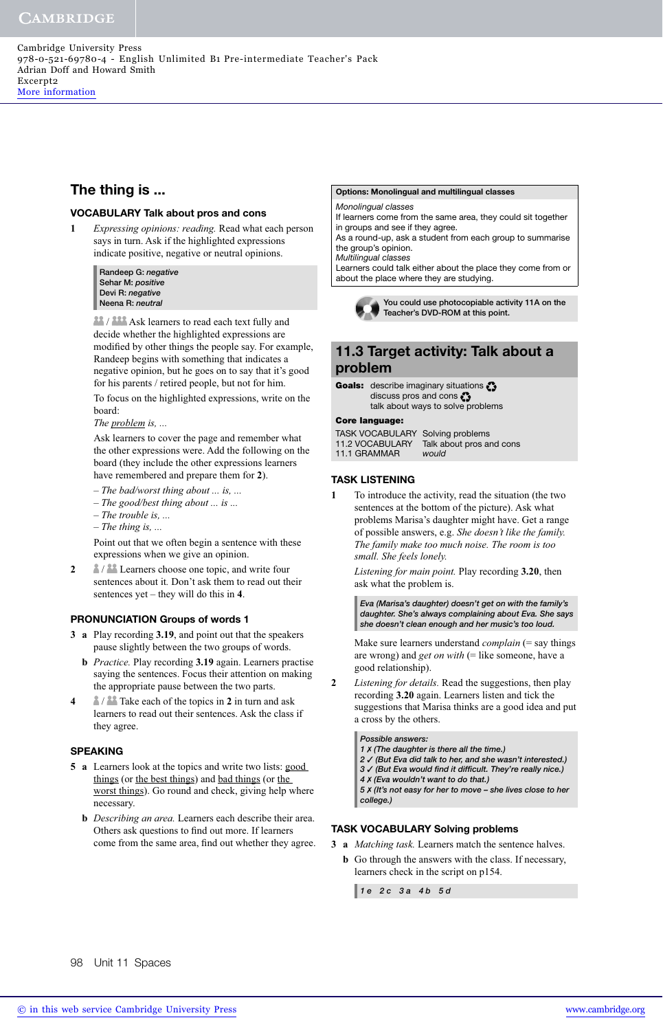# **The thing is ...**

#### **VOCABULARY Talk about pros and cons**

**1** *Expressing opinions: reading.* Read what each person says in turn. Ask if the highlighted expressions indicate positive, negative or neutral opinions.

> **Randeep G:** *negative* **Sehar M:** *positive* **Devi R:** *negative* **Neena R:** *neutral*

**AR** / **ASP** Ask learners to read each text fully and decide whether the highlighted expressions are modified by other things the people say. For example, Randeep begins with something that indicates a negative opinion, but he goes on to say that it's good for his parents / retired people, but not for him.

To focus on the highlighted expressions, write on the board:

#### *The problem is, ...*

Ask learners to cover the page and remember what the other expressions were. Add the following on the board (they include the other expressions learners have remembered and prepare them for **2**).

- *The bad/worst thing about ... is, ...*
- *The good/best thing about ... is ...*
- *The trouble is, ...*
- *The thing is, ...*

Point out that we often begin a sentence with these expressions when we give an opinion.

**2 a** / **a** Learners choose one topic, and write four sentences about it*.* Don't ask them to read out their sentences yet – they will do this in **4**.

#### **PRONUNCIATION Groups of words 1**

- **3 a** Play recording **3.19**, and point out that the speakers pause slightly between the two groups of words.
	- **b** *Practice.* Play recording **3.19** again. Learners practise saying the sentences. Focus their attention on making the appropriate pause between the two parts.
- **4** / Take each of the topics in **2** in turn and ask learners to read out their sentences. Ask the class if they agree.

#### **SPEAKING**

- **5 a** Learners look at the topics and write two lists: good things (or the best things) and bad things (or the worst things). Go round and check, giving help where necessary.
	- **b** *Describing an area.* Learners each describe their area. Others ask questions to find out more. If learners come from the same area, find out whether they agree.

#### **Options: Monolingual and multilingual classes**

Monolingual classes

If learners come from the same area, they could sit together in groups and see if they agree.

As a round-up, ask a student from each group to summarise the group's opinion. Multilingual classes

Learners could talk either about the place they come from or about the place where they are studying.



**You could use photocopiable activity 11A on the Teacher's DVD-ROM at this point.** 

# **11.3 Target activity: Talk about a problem**

Goals: describe imaginary situations discuss pros and cons talk about ways to solve problems

**Core language:** TASK VOCABULARY Solving problems 11.2 VOCABULARY Talk about pros and cons 11.1 GRAMMAR would

#### **TASK LISTENING**

**1** To introduce the activity, read the situation (the two sentences at the bottom of the picture). Ask what problems Marisa's daughter might have. Get a range of possible answers, e.g. *She doesn't like the family. The family make too much noise. The room is too small. She feels lonely.*

*Listening for main point.* Play recording **3.20**, then ask what the problem is.

*Eva (Marisa's daughter) doesn't get on with the family's daughter. She's always complaining about Eva. She says she doesn't clean enough and her music's too loud.*

Make sure learners understand *complain* (= say things are wrong) and *get on with* (= like someone, have a good relationship).

**2** *Listening for details.* Read the suggestions, then play recording **3.20** again. Learners listen and tick the suggestions that Marisa thinks are a good idea and put a cross by the others.

*Possible answers: 1* ✗ *(The daughter is there all the time.) 2* ✓ *(But Eva did talk to her, and she wasn't interested.)* 3 √ (But Eva would find it difficult. They're really nice.) *4* ✗ *(Eva wouldn't want to do that.)*

*5* ✗ *(It's not easy for her to move – she lives close to her college.)*

#### **TASK VOCABULARY Solving problems**

- **3 a** *Matching task.* Learners match the sentence halves.
	- **b** Go through the answers with the class. If necessary, learners check in the script on p154.

*1 e 2 c 3 a 4 b 5 d*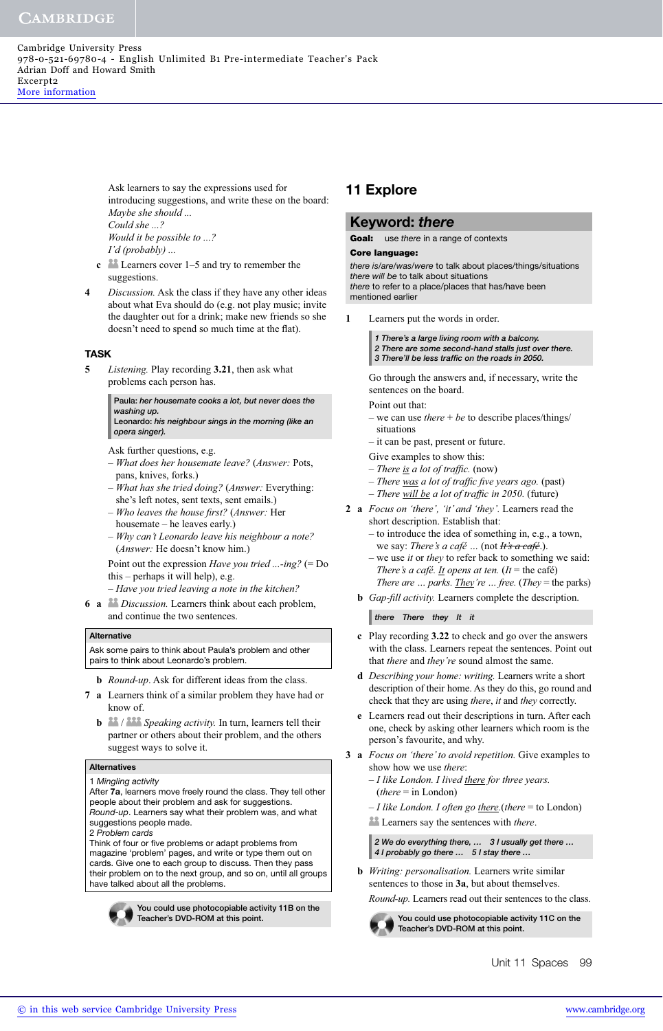Cambridge University Press 978-0-521-69780-4 - English Unlimited B1 Pre-intermediate Teacher's Pack Adrian Doff and Howard Smith Excerpt2 [More information](http://www.cambridge.org/9780521697804)

> Ask learners to say the expressions used for introducing suggestions, and write these on the board: *Maybe she should ... Could she ...? Would it be possible to ...? I'd (probably) ...*

- **c** Learners cover 1–5 and try to remember the suggestions.
- **4** *Discussion.* Ask the class if they have any other ideas about what Eva should do (e.g. not play music; invite the daughter out for a drink; make new friends so she doesn't need to spend so much time at the flat).

#### **TASK**

**5** *Listening.* Play recording **3.21**, then ask what problems each person has.

> **Paula:** *her housemate cooks a lot, but never does the washing up.*

> **Leonardo:** *his neighbour sings in the morning (like an opera singer).*

- Ask further questions, e.g.
- *What does her housemate leave?* (*Answer:* Pots, pans, knives, forks.)
- *What has she tried doing?* (*Answer:* Everything: she's left notes, sent texts, sent emails.)
- *Who leaves the house fi rst?* (*Answer:* Her
- housemate he leaves early.)
- *Why can't Leonardo leave his neighbour a note?* (*Answer:* He doesn't know him.)

Point out the expression *Have you tried ...-ing?* (= Do this – perhaps it will help), e.g.

- *Have you tried leaving a note in the kitchen?*
- **6 a** *Discussion.* Learners think about each problem, and continue the two sentences.

#### **Alternative**

Ask some pairs to think about Paula's problem and other pairs to think about Leonardo's problem.

- **b** *Round-up*. Ask for different ideas from the class.
- **7 a** Learners think of a similar problem they have had or know of.
	- **b 32** / **Speaking activity**. In turn, learners tell their partner or others about their problem, and the others suggest ways to solve it.

#### **Alternatives**

#### 1 Mingling activity

After **7a**, learners move freely round the class. They tell other people about their problem and ask for suggestions. Round-up. Learners say what their problem was, and what suggestions people made.

2 Problem cards

Think of four or five problems or adapt problems from magazine 'problem' pages, and write or type them out on cards. Give one to each group to discuss. Then they pass their problem on to the next group, and so on, until all groups have talked about all the problems.



**You could use photocopiable activity 11B on the Teacher's DVD-ROM at this point.** 

# **11 Explore**

#### **Keyword:** *there*

Goal: use *there* in a range of contexts<br>Core language:

**Core language:** there is/are/was/were to talk about places/things/situations there will be to talk about situations there to refer to a place/places that has/have been mentioned earlier

**1** Learners put the words in order.

*1 There's a large living room with a balcony. 2 There are some second-hand stalls just over there.* 3 There'll be less traffic on the roads in 2050.

Go through the answers and, if necessary, write the sentences on the board.

- Point out that:
- we can use *there* + *be* to describe places/things/ situations
- it can be past, present or future.
- Give examples to show this:
- *There <u>is</u> a lot of traffic.* (now)
- There was a lot of traffic five years ago. (past)
- *There* will be a lot of traffic in 2050. (future) **2 a** *Focus on 'there', 'it' and 'they'.* Learners read the
	- short description. Establish that: – to introduce the idea of something in, e.g., a town,
		- we say: *There's a café …* (not *It's a café*.). we use *it* or *they* to refer back to something we said:
		- *There's a café. <u>It</u> opens at ten. (It* = the café) *There are … parks. They're … free.* (*They* = the parks)
	- **b** *Gap-fill activity*. Learners complete the description.

*there There they It it*

- **c** Play recording **3.22** to check and go over the answers with the class. Learners repeat the sentences. Point out that *there* and *they're* sound almost the same.
- **d** *Describing your home: writing.* Learners write a short description of their home. As they do this, go round and check that they are using *there*, *it* and *they* correctly.
- **e** Learners read out their descriptions in turn. After each one, check by asking other learners which room is the person's favourite, and why.
- **3 a** *Focus on 'there' to avoid repetition.* Give examples to show how we use *there*:
	- *I like London. I lived there for three years.* (*there* = in London)
	- *I like London. I often go there.*(*there* = to London)
	- Learners say the sentences with *there*.

*2 We do everything there, … 3 I usually get there … 4 I probably go there … 5 I stay there …*

 **b** *Writing: personalisation.* Learners write similar sentences to those in **3a**, but about themselves. *Round-up.* Learners read out their sentences to the class.

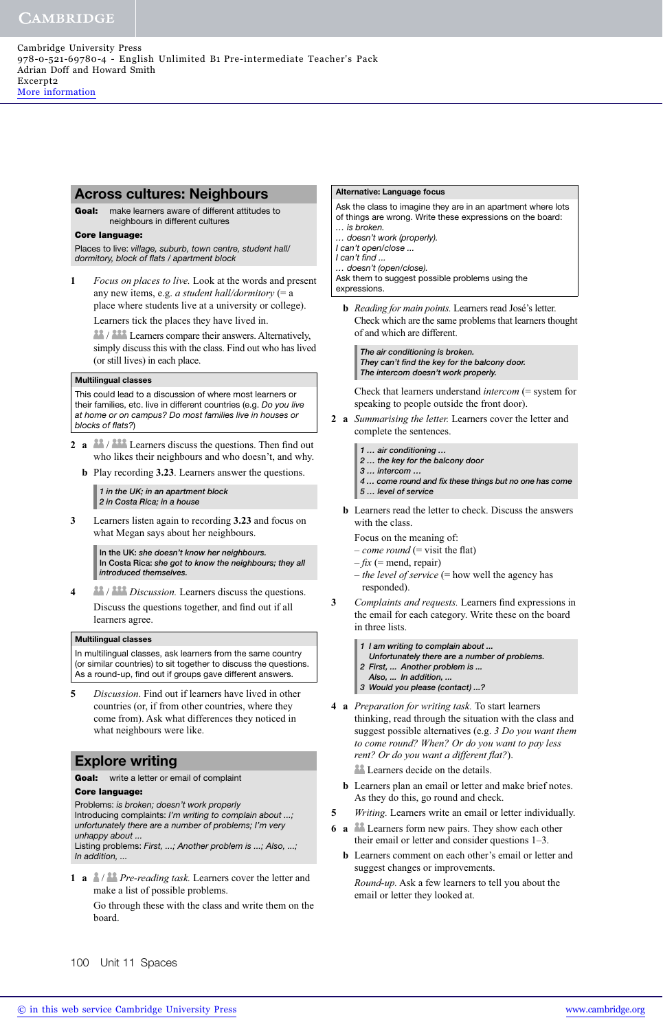#### **Across cultures: Neighbours**

**Goal:** make learners aware of different attitudes to neighbours in different cultures

**Core language:**  Places to live: village, suburb, town centre, student hall/ dormitory, block of flats / apartment block

**1** *Focus on places to live.* Look at the words and present any new items, e.g. *a student hall/dormitory* (= a place where students live at a university or college). Learners tick the places they have lived in.

 / Learners compare their answers. Alternatively, simply discuss this with the class. Find out who has lived (or still lives) in each place.

#### **Multilingual classes**

This could lead to a discussion of where most learners or their families, etc. live in different countries (e.g. Do you live at home or on campus? Do most families live in houses or blocks of flats?)

- **2 a**  $\frac{28}{100}$  / **222** Learners discuss the questions. Then find out who likes their neighbours and who doesn't, and why.
	- **b** Play recording **3.23**. Learners answer the questions.

*1 in the UK; in an apartment block 2 in Costa Rica; in a house*

**3** Learners listen again to recording **3.23** and focus on what Megan says about her neighbours.

> **In the UK:** *she doesn't know her neighbours.* **In Costa Rica:** *she got to know the neighbours; they all introduced themselves.*

**4** / *Discussion.* Learners discuss the questions. Discuss the questions together, and find out if all learners agree.

#### **Multilingual classes**

In multilingual classes, ask learners from the same country (or similar countries) to sit together to discuss the questions. As a round-up, find out if groups gave different answers.

**5** *Discussion*. Find out if learners have lived in other countries (or, if from other countries, where they come from). Ask what differences they noticed in what neighbours were like.

### **Explore writing**

# **Goal:** write a letter or email of complaint **Core language:**

**Core language:** Problems: is broken; doesn't work properly Introducing complaints: I'm writing to complain about ...; unfortunately there are a number of problems; I'm very unhappy about ...

Listing problems: First, ...; Another problem is ...; Also, ...; In addition, ...

**1 a** / *Pre-reading task.* Learners cover the letter and make a list of possible problems.

Go through these with the class and write them on the board.

#### **Alternative: Language focus**

Ask the class to imagine they are in an apartment where lots of things are wrong. Write these expressions on the board: … is broken.

… doesn't work (properly).

I can't open/close ...

I can't find ...

… doesn't (open/close). Ask them to suggest possible problems using the expressions.

- 
- **b** *Reading for main points.* Learners read José's letter. Check which are the same problems that learners thought of and which are different.

*The air conditioning is broken.* They can't find the key for the balcony door. *The intercom doesn't work properly.*

Check that learners understand *intercom* (= system for speaking to people outside the front door).

- **2 a** *Summarising the letter.* Learners cover the letter and complete the sentences.
	- *1 … air conditioning …*
	- *2 … the key for the balcony door*
	- *3 … intercom …*
	- 4 ... come round and fix these things but no one has come *5 … level of service*
	- **b** Learners read the letter to check. Discuss the answers with the class.

Focus on the meaning of:

- $-$  *come round* (= visit the flat)
- $-fix$  (= mend, repair)
- *the level of service* (= how well the agency has responded).
- **3** *Complaints and requests.* Learners find expressions in the email for each category. Write these on the board in three lists.
	- *1 I am writing to complain about ...*
	- *Unfortunately there are a number of problems.*
	- *2 First, ... Another problem is ...*
	- *Also, ... In addition, ...*
	- *3 Would you please (contact) ...?*
- **4 a** *Preparation for writing task.* To start learners thinking, read through the situation with the class and suggest possible alternatives (e.g. *3 Do you want them to come round? When? Or do you want to pay less rent? Or do you want a different flat?*).

Learners decide on the details.

- **b** Learners plan an email or letter and make brief notes. As they do this, go round and check.
- **5** *Writing.* Learners write an email or letter individually.
- **6 a** Learners form new pairs. They show each other their email or letter and consider questions 1–3.
	- **b** Learners comment on each other's email or letter and suggest changes or improvements.

*Round-up.* Ask a few learners to tell you about the email or letter they looked at.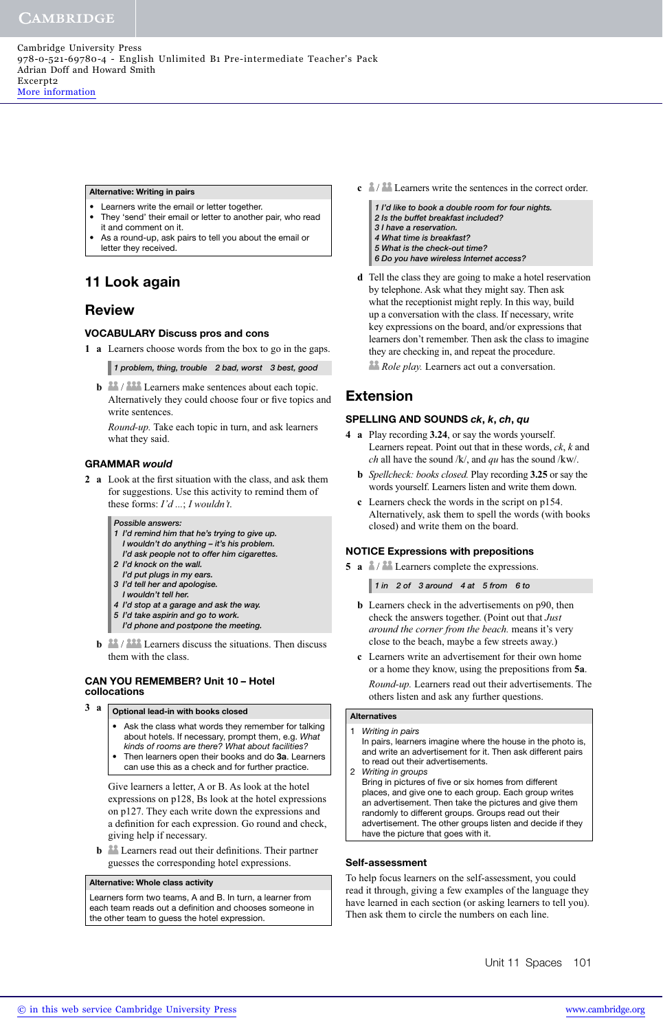#### **Alternative: Writing in pairs**

- Learners write the email or letter together.
- They 'send' their email or letter to another pair, who read it and comment on it.
- As a round-up, ask pairs to tell you about the email or letter they received.

# **11 Look again**

# **Review**

#### **VOCABULARY Discuss pros and cons**

**1 a** Learners choose words from the box to go in the gaps.

*1 problem, thing, trouble 2 bad, worst 3 best, good*

**b b** / **222** Learners make sentences about each topic. Alternatively they could choose four or five topics and write sentences.

*Round-up.* Take each topic in turn, and ask learners what they said.

#### **GRAMMAR** *would*

**2** a Look at the first situation with the class, and ask them for suggestions. Use this activity to remind them of these forms: *I'd ...*; *I wouldn't*.

#### *Possible answers:*

- *1 I'd remind him that he's trying to give up. I wouldn't do anything – it's his problem.*
- *I'd ask people not to offer him cigarettes.*
- *2 I'd knock on the wall.*
- *I'd put plugs in my ears.*
- *3 I'd tell her and apologise. I wouldn't tell her.*
- *4 I'd stop at a garage and ask the way.*
- *5 I'd take aspirin and go to work.*
- *I'd phone and postpone the meeting.*
- **b b** / 222 Learners discuss the situations. Then discuss them with the class.

#### **CAN YOU REMEMBER? Unit 10 – Hotel collocations**

- **3 a Optional lead-in with books closed**
	- Ask the class what words they remember for talking about hotels. If necessary, prompt them, e.g. What kinds of rooms are there? What about facilities?
	- Then learners open their books and do **3a**. Learners can use this as a check and for further practice.

Give learners a letter, A or B. As look at the hotel expressions on p128, Bs look at the hotel expressions on p127. They each write down the expressions and a definition for each expression. Go round and check, giving help if necessary.

**b b** Learners read out their definitions. Their partner guesses the corresponding hotel expressions.

#### **Alternative: Whole class activity**

Learners form two teams, A and B. In turn, a learner from each team reads out a definition and chooses someone in the other team to guess the hotel expression.

- **c**  $\frac{a}{2}$  / **a** Learners write the sentences in the correct order.
	- *1 I'd like to book a double room for four nights. 2 Is the buffet breakfast included? 3 I have a reservation. 4 What time is breakfast? 5 What is the check-out time? 6 Do you have wireless Internet access?*
- **d** Tell the class they are going to make a hotel reservation by telephone. Ask what they might say. Then ask what the receptionist might reply. In this way, build up a conversation with the class. If necessary, write key expressions on the board, and/or expressions that learners don't remember. Then ask the class to imagine they are checking in, and repeat the procedure.

*Role play.* Learners act out a conversation.

# **Extension**

#### **SPELLING AND SOUNDS** *ck***,** *k***,** *ch***,** *qu*

- **4 a** Play recording **3.24**, or say the words yourself. Learners repeat. Point out that in these words, *ck*, *k* and *ch* all have the sound /k/, and *qu* has the sound /kw/.
	- **b** *Spellcheck: books closed.* Play recording **3.25** or say the words yourself. Learners listen and write them down.
	- **c** Learners check the words in the script on p154. Alternatively, ask them to spell the words (with books closed) and write them on the board.

#### **NOTICE Expressions with prepositions**

**5 a**  $\frac{2}{3}$  / **Learners** complete the expressions.

*1 in 2 of 3 around 4 at 5 from 6 to*

- **b** Learners check in the advertisements on p90, then check the answers together. (Point out that *Just around the corner from the beach.* means it's very close to the beach, maybe a few streets away.)
- **c** Learners write an advertisement for their own home or a home they know, using the prepositions from **5a**. *Round-up.* Learners read out their advertisements. The others listen and ask any further questions.

#### **Alternatives**

- 1 Writing in pairs In pairs, learners imagine where the house in the photo is, and write an advertisement for it. Then ask different pairs to read out their advertisements.
- 2 Writing in groups Bring in pictures of five or six homes from different places, and give one to each group. Each group writes an advertisement. Then take the pictures and give them randomly to different groups. Groups read out their advertisement. The other groups listen and decide if they have the picture that goes with it.

#### **Self-assessment**

To help focus learners on the self-assessment, you could read it through, giving a few examples of the language they have learned in each section (or asking learners to tell you). Then ask them to circle the numbers on each line.